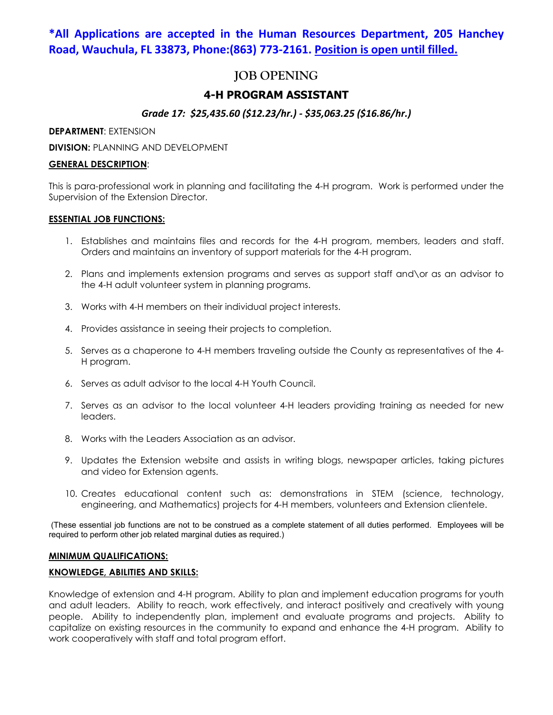# **\*All Applications are accepted in the Human Resources Department, 205 Hanchey Road, Wauchula, FL 33873, Phone:(863) 773-2161. Position is open until filled.**

# **JOB OPENING**

## **4-H PROGRAM ASSISTANT**

## *Grade 17: \$25,435.60 (\$12.23/hr.) - \$35,063.25 (\$16.86/hr.)*

**DEPARTMENT**: EXTENSION

**DIVISION: PLANNING AND DEVELOPMENT** 

## **GENERAL DESCRIPTION**:

This is para-professional work in planning and facilitating the 4-H program. Work is performed under the Supervision of the Extension Director.

## **ESSENTIAL JOB FUNCTIONS:**

- 1. Establishes and maintains files and records for the 4-H program, members, leaders and staff. Orders and maintains an inventory of support materials for the 4-H program.
- 2. Plans and implements extension programs and serves as support staff and\or as an advisor to the 4-H adult volunteer system in planning programs.
- 3. Works with 4-H members on their individual project interests.
- 4. Provides assistance in seeing their projects to completion.
- 5. Serves as a chaperone to 4-H members traveling outside the County as representatives of the 4- H program.
- 6. Serves as adult advisor to the local 4-H Youth Council.
- 7. Serves as an advisor to the local volunteer 4-H leaders providing training as needed for new leaders.
- 8. Works with the Leaders Association as an advisor.
- 9. Updates the Extension website and assists in writing blogs, newspaper articles, taking pictures and video for Extension agents.
- 10. Creates educational content such as: demonstrations in STEM (science, technology, engineering, and Mathematics) projects for 4-H members, volunteers and Extension clientele.

(These essential job functions are not to be construed as a complete statement of all duties performed. Employees will be required to perform other job related marginal duties as required.)

## **MINIMUM QUALIFICATIONS:**

## **KNOWLEDGE, ABILITIES AND SKILLS:**

Knowledge of extension and 4-H program. Ability to plan and implement education programs for youth and adult leaders. Ability to reach, work effectively, and interact positively and creatively with young people. Ability to independently plan, implement and evaluate programs and projects. Ability to capitalize on existing resources in the community to expand and enhance the 4-H program. Ability to work cooperatively with staff and total program effort.